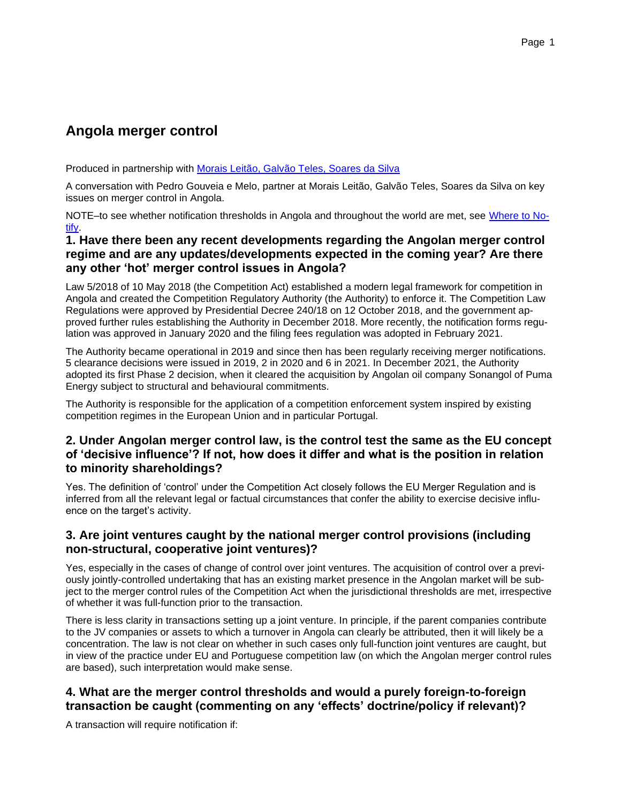# **Angola merger control**

Produced in partnership with [Morais Leitão, Galvão Teles, Soares da Silva](http://lexisnexis.co.uk/en-uk/practice-areas/competition-experts.page)

A conversation with Pedro Gouveia e Melo, partner at Morais Leitão, Galvão Teles, Soares da Silva on key issues on merger control in Angola.

NOTE–to see whether notification thresholds in Angola and throughout the world are met, see [Where to No](http://lexiswheretonotify.co.uk/merger)[tify.](http://lexiswheretonotify.co.uk/merger)

## **1. Have there been any recent developments regarding the Angolan merger control regime and are any updates/developments expected in the coming year? Are there any other 'hot' merger control issues in Angola?**

Law 5/2018 of 10 May 2018 (the Competition Act) established a modern legal framework for competition in Angola and created the Competition Regulatory Authority (the Authority) to enforce it. The Competition Law Regulations were approved by Presidential Decree 240/18 on 12 October 2018, and the government approved further rules establishing the Authority in December 2018. More recently, the notification forms regulation was approved in January 2020 and the filing fees regulation was adopted in February 2021.

The Authority became operational in 2019 and since then has been regularly receiving merger notifications. 5 clearance decisions were issued in 2019, 2 in 2020 and 6 in 2021. In December 2021, the Authority adopted its first Phase 2 decision, when it cleared the acquisition by Angolan oil company Sonangol of Puma Energy subject to structural and behavioural commitments.

The Authority is responsible for the application of a competition enforcement system inspired by existing competition regimes in the European Union and in particular Portugal.

## **2. Under Angolan merger control law, is the control test the same as the EU concept of 'decisive influence'? If not, how does it differ and what is the position in relation to minority shareholdings?**

Yes. The definition of 'control' under the Competition Act closely follows the EU Merger Regulation and is inferred from all the relevant legal or factual circumstances that confer the ability to exercise decisive influence on the target's activity.

## **3. Are joint ventures caught by the national merger control provisions (including non-structural, cooperative joint ventures)?**

Yes, especially in the cases of change of control over joint ventures. The acquisition of control over a previously jointly-controlled undertaking that has an existing market presence in the Angolan market will be subject to the merger control rules of the Competition Act when the jurisdictional thresholds are met, irrespective of whether it was full-function prior to the transaction.

There is less clarity in transactions setting up a joint venture. In principle, if the parent companies contribute to the JV companies or assets to which a turnover in Angola can clearly be attributed, then it will likely be a concentration. The law is not clear on whether in such cases only full-function joint ventures are caught, but in view of the practice under EU and Portuguese competition law (on which the Angolan merger control rules are based), such interpretation would make sense.

# **4. What are the merger control thresholds and would a purely foreign-to-foreign transaction be caught (commenting on any 'effects' doctrine/policy if relevant)?**

A transaction will require notification if: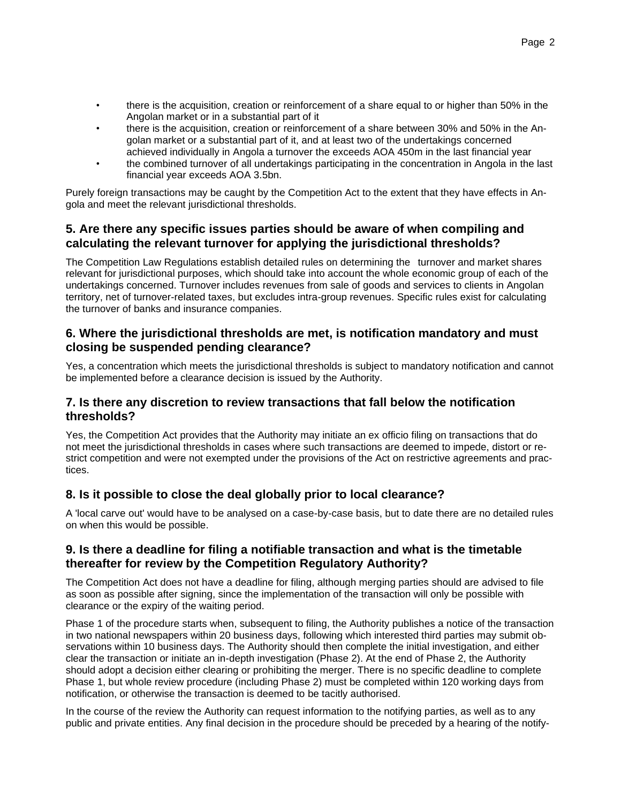- there is the acquisition, creation or reinforcement of a share equal to or higher than 50% in the Angolan market or in a substantial part of it
- there is the acquisition, creation or reinforcement of a share between 30% and 50% in the Angolan market or a substantial part of it, and at least two of the undertakings concerned achieved individually in Angola a turnover the exceeds AOA 450m in the last financial year
- the combined turnover of all undertakings participating in the concentration in Angola in the last financial year exceeds AOA 3.5bn.

Purely foreign transactions may be caught by the Competition Act to the extent that they have effects in Angola and meet the relevant jurisdictional thresholds.

## **5. Are there any specific issues parties should be aware of when compiling and calculating the relevant turnover for applying the jurisdictional thresholds?**

The Competition Law Regulations establish detailed rules on determining the turnover and market shares relevant for jurisdictional purposes, which should take into account the whole economic group of each of the undertakings concerned. Turnover includes revenues from sale of goods and services to clients in Angolan territory, net of turnover-related taxes, but excludes intra-group revenues. Specific rules exist for calculating the turnover of banks and insurance companies.

#### **6. Where the jurisdictional thresholds are met, is notification mandatory and must closing be suspended pending clearance?**

Yes, a concentration which meets the jurisdictional thresholds is subject to mandatory notification and cannot be implemented before a clearance decision is issued by the Authority.

## **7. Is there any discretion to review transactions that fall below the notification thresholds?**

Yes, the Competition Act provides that the Authority may initiate an ex officio filing on transactions that do not meet the jurisdictional thresholds in cases where such transactions are deemed to impede, distort or restrict competition and were not exempted under the provisions of the Act on restrictive agreements and practices.

## **8. Is it possible to close the deal globally prior to local clearance?**

A 'local carve out' would have to be analysed on a case-by-case basis, but to date there are no detailed rules on when this would be possible.

## **9. Is there a deadline for filing a notifiable transaction and what is the timetable thereafter for review by the Competition Regulatory Authority?**

The Competition Act does not have a deadline for filing, although merging parties should are advised to file as soon as possible after signing, since the implementation of the transaction will only be possible with clearance or the expiry of the waiting period.

Phase 1 of the procedure starts when, subsequent to filing, the Authority publishes a notice of the transaction in two national newspapers within 20 business days, following which interested third parties may submit observations within 10 business days. The Authority should then complete the initial investigation, and either clear the transaction or initiate an in-depth investigation (Phase 2). At the end of Phase 2, the Authority should adopt a decision either clearing or prohibiting the merger. There is no specific deadline to complete Phase 1, but whole review procedure (including Phase 2) must be completed within 120 working days from notification, or otherwise the transaction is deemed to be tacitly authorised.

In the course of the review the Authority can request information to the notifying parties, as well as to any public and private entities. Any final decision in the procedure should be preceded by a hearing of the notify